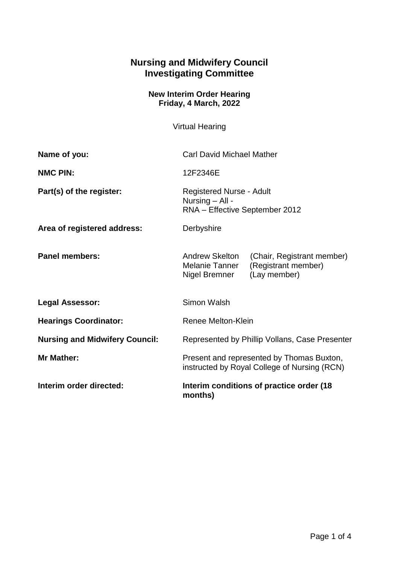## **Nursing and Midwifery Council Investigating Committee**

**New Interim Order Hearing Friday, 4 March, 2022**

Virtual Hearing

| Name of you:                          | <b>Carl David Michael Mather</b>                                                          |                                                                   |
|---------------------------------------|-------------------------------------------------------------------------------------------|-------------------------------------------------------------------|
| <b>NMC PIN:</b>                       | 12F2346E                                                                                  |                                                                   |
| Part(s) of the register:              | <b>Registered Nurse - Adult</b><br>Nursing - All -<br>RNA - Effective September 2012      |                                                                   |
| Area of registered address:           | Derbyshire                                                                                |                                                                   |
| <b>Panel members:</b>                 | <b>Andrew Skelton</b><br>Melanie Tanner<br>Nigel Bremner                                  | (Chair, Registrant member)<br>(Registrant member)<br>(Lay member) |
| <b>Legal Assessor:</b>                | Simon Walsh                                                                               |                                                                   |
| <b>Hearings Coordinator:</b>          | Renee Melton-Klein                                                                        |                                                                   |
| <b>Nursing and Midwifery Council:</b> | Represented by Phillip Vollans, Case Presenter                                            |                                                                   |
| <b>Mr Mather:</b>                     | Present and represented by Thomas Buxton,<br>instructed by Royal College of Nursing (RCN) |                                                                   |
| Interim order directed:               | Interim conditions of practice order (18)<br>months)                                      |                                                                   |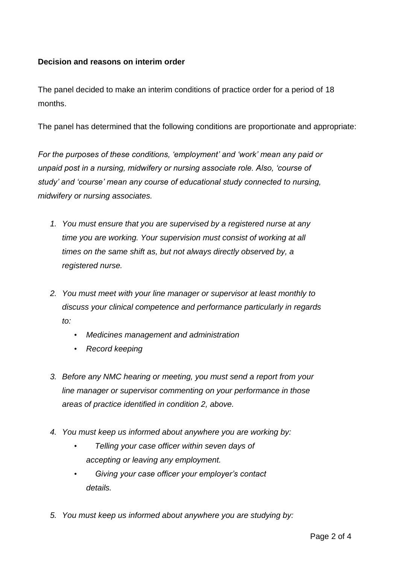## **Decision and reasons on interim order**

The panel decided to make an interim conditions of practice order for a period of 18 months.

The panel has determined that the following conditions are proportionate and appropriate:

*For the purposes of these conditions, 'employment' and 'work' mean any paid or unpaid post in a nursing, midwifery or nursing associate role. Also, 'course of study' and 'course' mean any course of educational study connected to nursing, midwifery or nursing associates.*

- *1. You must ensure that you are supervised by a registered nurse at any time you are working. Your supervision must consist of working at all times on the same shift as, but not always directly observed by, a registered nurse.*
- *2. You must meet with your line manager or supervisor at least monthly to discuss your clinical competence and performance particularly in regards to:*
	- *Medicines management and administration*
	- *Record keeping*
- *3. Before any NMC hearing or meeting, you must send a report from your line manager or supervisor commenting on your performance in those areas of practice identified in condition 2, above.*
- *4. You must keep us informed about anywhere you are working by:* 
	- *Telling your case officer within seven days of accepting or leaving any employment.*
	- *Giving your case officer your employer's contact details.*
- *5. You must keep us informed about anywhere you are studying by:*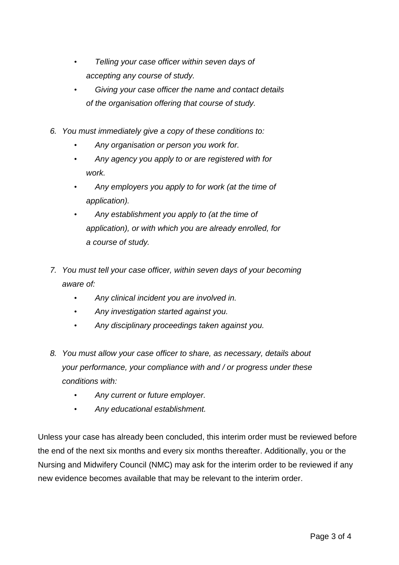- *Telling your case officer within seven days of accepting any course of study.*
- *Giving your case officer the name and contact details of the organisation offering that course of study.*
- *6. You must immediately give a copy of these conditions to:* 
	- *Any organisation or person you work for.*
	- *Any agency you apply to or are registered with for work.*
	- *Any employers you apply to for work (at the time of application).*
	- *Any establishment you apply to (at the time of application), or with which you are already enrolled, for a course of study.*
- *7. You must tell your case officer, within seven days of your becoming aware of:*
	- *Any clinical incident you are involved in.*
	- *Any investigation started against you.*
	- *Any disciplinary proceedings taken against you.*
- *8. You must allow your case officer to share, as necessary, details about your performance, your compliance with and / or progress under these conditions with:*
	- *Any current or future employer.*
	- *Any educational establishment.*

Unless your case has already been concluded, this interim order must be reviewed before the end of the next six months and every six months thereafter. Additionally, you or the Nursing and Midwifery Council (NMC) may ask for the interim order to be reviewed if any new evidence becomes available that may be relevant to the interim order.